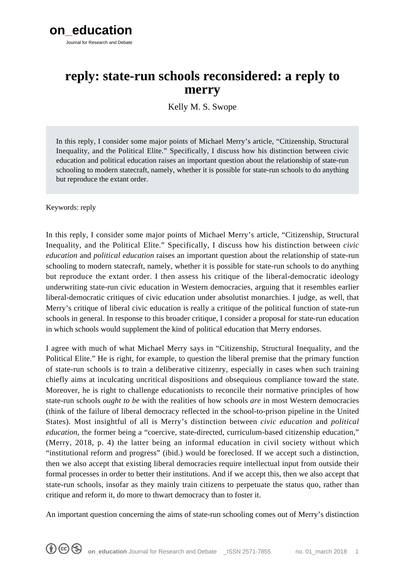

# **reply: state-run schools reconsidered: a reply to merry**

Kelly M. S. Swope

In this reply, I consider some major points of Michael Merry's article, "Citizenship, Structural Inequality, and the Political Elite." Specifically, I discuss how his distinction between civic education and political education raises an important question about the relationship of state-run schooling to modern statecraft, namely, whether it is possible for state-run schools to do anything but reproduce the extant order.

Keywords: reply

In this reply, I consider some major points of Michael Merry's article, "Citizenship, Structural Inequality, and the Political Elite." Specifically, I discuss how his distinction between *civic education* and *political education* raises an important question about the relationship of state-run schooling to modern statecraft, namely, whether it is possible for state-run schools to do anything but reproduce the extant order. I then assess his critique of the liberal-democratic ideology underwriting state-run civic education in Western democracies, arguing that it resembles earlier liberal-democratic critiques of civic education under absolutist monarchies. I judge, as well, that Merry's critique of liberal civic education is really a critique of the political function of state-run schools in general. In response to this broader critique, I consider a proposal for state-run education in which schools would supplement the kind of political education that Merry endorses.

I agree with much of what Michael Merry says in "Citizenship, Structural Inequality, and the Political Elite." He is right, for example, to question the liberal premise that the primary function of state-run schools is to train a deliberative citizenry, especially in cases when such training chiefly aims at inculcating uncritical dispositions and obsequious compliance toward the state. Moreover, he is right to challenge educationists to reconcile their normative principles of how state-run schools *ought to be* with the realities of how schools *are* in most Western democracies (think of the failure of liberal democracy reflected in the school-to-prison pipeline in the United States). Most insightful of all is Merry's distinction between *civic education* and *political education*, the former being a "coercive, state-directed, curriculum-based citizenship education," (Merry, 2018, p. 4) the latter being an informal education in civil society without which "institutional reform and progress" (ibid.) would be foreclosed. If we accept such a distinction, then we also accept that existing liberal democracies require intellectual input from outside their formal processes in order to better their institutions. And if we accept this, then we also accept that state-run schools, insofar as they mainly train citizens to perpetuate the status quo, rather than critique and reform it, do more to thwart democracy than to foster it.

An important question concerning the aims of state-run schooling comes out of Merry's distinction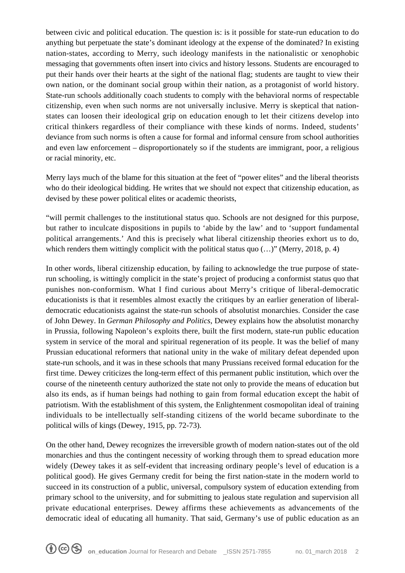between civic and political education. The question is: is it possible for state-run education to do anything but perpetuate the state's dominant ideology at the expense of the dominated? In existing nation-states, according to Merry, such ideology manifests in the nationalistic or xenophobic messaging that governments often insert into civics and history lessons. Students are encouraged to put their hands over their hearts at the sight of the national flag; students are taught to view their own nation, or the dominant social group within their nation, as a protagonist of world history. State-run schools additionally coach students to comply with the behavioral norms of respectable citizenship, even when such norms are not universally inclusive. Merry is skeptical that nationstates can loosen their ideological grip on education enough to let their citizens develop into critical thinkers regardless of their compliance with these kinds of norms. Indeed, students' deviance from such norms is often a cause for formal and informal censure from school authorities and even law enforcement – disproportionately so if the students are immigrant, poor, a religious or racial minority, etc.

Merry lays much of the blame for this situation at the feet of "power elites" and the liberal theorists who do their ideological bidding. He writes that we should not expect that citizenship education, as devised by these power political elites or academic theorists,

"will permit challenges to the institutional status quo. Schools are not designed for this purpose, but rather to inculcate dispositions in pupils to 'abide by the law' and to 'support fundamental political arrangements.' And this is precisely what liberal citizenship theories exhort us to do, which renders them wittingly complicit with the political status quo  $(...)$ " (Merry, 2018, p. 4)

In other words, liberal citizenship education, by failing to acknowledge the true purpose of staterun schooling, is wittingly complicit in the state's project of producing a conformist status quo that punishes non-conformism. What I find curious about Merry's critique of liberal-democratic educationists is that it resembles almost exactly the critiques by an earlier generation of liberaldemocratic educationists against the state-run schools of absolutist monarchies. Consider the case of John Dewey. In *German Philosophy and Politics*, Dewey explains how the absolutist monarchy in Prussia, following Napoleon's exploits there, built the first modern, state-run public education system in service of the moral and spiritual regeneration of its people. It was the belief of many Prussian educational reformers that national unity in the wake of military defeat depended upon state-run schools, and it was in these schools that many Prussians received formal education for the first time. Dewey criticizes the long-term effect of this permanent public institution, which over the course of the nineteenth century authorized the state not only to provide the means of education but also its ends, as if human beings had nothing to gain from formal education except the habit of patriotism. With the establishment of this system, the Enlightenment cosmopolitan ideal of training individuals to be intellectually self-standing citizens of the world became subordinate to the political wills of kings (Dewey, 1915, pp. 72-73).

On the other hand, Dewey recognizes the irreversible growth of modern nation-states out of the old monarchies and thus the contingent necessity of working through them to spread education more widely (Dewey takes it as self-evident that increasing ordinary people's level of education is a political good). He gives Germany credit for being the first nation-state in the modern world to succeed in its construction of a public, universal, compulsory system of education extending from primary school to the university, and for submitting to jealous state regulation and supervision all private educational enterprises. Dewey affirms these achievements as advancements of the democratic ideal of educating all humanity. That said, Germany's use of public education as an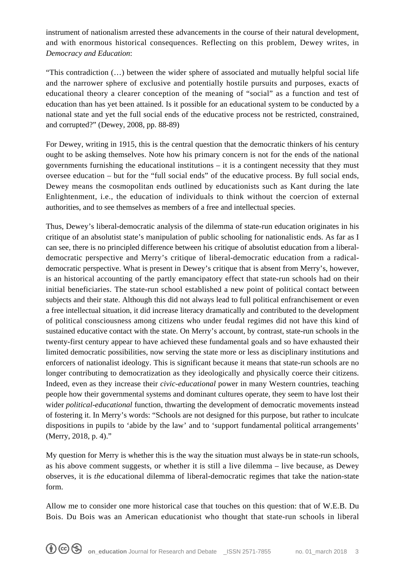instrument of nationalism arrested these advancements in the course of their natural development, and with enormous historical consequences. Reflecting on this problem, Dewey writes, in *Democracy and Education*:

"This contradiction (…) between the wider sphere of associated and mutually helpful social life and the narrower sphere of exclusive and potentially hostile pursuits and purposes, exacts of educational theory a clearer conception of the meaning of "social" as a function and test of education than has yet been attained. Is it possible for an educational system to be conducted by a national state and yet the full social ends of the educative process not be restricted, constrained, and corrupted?" (Dewey, 2008, pp. 88-89)

For Dewey, writing in 1915, this is the central question that the democratic thinkers of his century ought to be asking themselves. Note how his primary concern is not for the ends of the national governments furnishing the educational institutions – it is a contingent necessity that they must oversee education – but for the "full social ends" of the educative process. By full social ends, Dewey means the cosmopolitan ends outlined by educationists such as Kant during the late Enlightenment, i.e., the education of individuals to think without the coercion of external authorities, and to see themselves as members of a free and intellectual species.

Thus, Dewey's liberal-democratic analysis of the dilemma of state-run education originates in his critique of an absolutist state's manipulation of public schooling for nationalistic ends. As far as I can see, there is no principled difference between his critique of absolutist education from a liberaldemocratic perspective and Merry's critique of liberal-democratic education from a radicaldemocratic perspective. What is present in Dewey's critique that is absent from Merry's, however, is an historical accounting of the partly emancipatory effect that state-run schools had on their initial beneficiaries. The state-run school established a new point of political contact between subjects and their state. Although this did not always lead to full political enfranchisement or even a free intellectual situation, it did increase literacy dramatically and contributed to the development of political consciousness among citizens who under feudal regimes did not have this kind of sustained educative contact with the state. On Merry's account, by contrast, state-run schools in the twenty-first century appear to have achieved these fundamental goals and so have exhausted their limited democratic possibilities, now serving the state more or less as disciplinary institutions and enforcers of nationalist ideology. This is significant because it means that state-run schools are no longer contributing to democratization as they ideologically and physically coerce their citizens. Indeed, even as they increase their *civic-educational* power in many Western countries, teaching people how their governmental systems and dominant cultures operate, they seem to have lost their wider *political-educational* function, thwarting the development of democratic movements instead of fostering it. In Merry's words: "Schools are not designed for this purpose, but rather to inculcate dispositions in pupils to 'abide by the law' and to 'support fundamental political arrangements' (Merry, 2018, p. 4)."

My question for Merry is whether this is the way the situation must always be in state-run schools, as his above comment suggests, or whether it is still a live dilemma – live because, as Dewey observes, it is *the* educational dilemma of liberal-democratic regimes that take the nation-state form.

Allow me to consider one more historical case that touches on this question: that of W.E.B. Du Bois. Du Bois was an American educationist who thought that state-run schools in liberal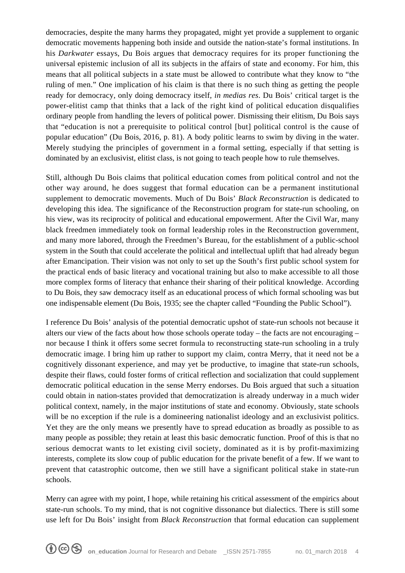democracies, despite the many harms they propagated, might yet provide a supplement to organic democratic movements happening both inside and outside the nation-state's formal institutions. In his *Darkwater* essays, Du Bois argues that democracy requires for its proper functioning the universal epistemic inclusion of all its subjects in the affairs of state and economy. For him, this means that all political subjects in a state must be allowed to contribute what they know to "the ruling of men." One implication of his claim is that there is no such thing as getting the people ready for democracy, only doing democracy itself, *in medias res*. Du Bois' critical target is the power-elitist camp that thinks that a lack of the right kind of political education disqualifies ordinary people from handling the levers of political power. Dismissing their elitism, Du Bois says that "education is not a prerequisite to political control [but] political control is the cause of popular education" (Du Bois, 2016, p. 81). A body politic learns to swim by diving in the water. Merely studying the principles of government in a formal setting, especially if that setting is dominated by an exclusivist, elitist class, is not going to teach people how to rule themselves.

Still, although Du Bois claims that political education comes from political control and not the other way around, he does suggest that formal education can be a permanent institutional supplement to democratic movements. Much of Du Bois' *Black Reconstruction* is dedicated to developing this idea. The significance of the Reconstruction program for state-run schooling, on his view, was its reciprocity of political and educational empowerment. After the Civil War, many black freedmen immediately took on formal leadership roles in the Reconstruction government, and many more labored, through the Freedmen's Bureau, for the establishment of a public-school system in the South that could accelerate the political and intellectual uplift that had already begun after Emancipation. Their vision was not only to set up the South's first public school system for the practical ends of basic literacy and vocational training but also to make accessible to all those more complex forms of literacy that enhance their sharing of their political knowledge. According to Du Bois, they saw democracy itself as an educational process of which formal schooling was but one indispensable element (Du Bois, 1935; see the chapter called "Founding the Public School").

I reference Du Bois' analysis of the potential democratic upshot of state-run schools not because it alters our view of the facts about how those schools operate today – the facts are not encouraging – nor because I think it offers some secret formula to reconstructing state-run schooling in a truly democratic image. I bring him up rather to support my claim, contra Merry, that it need not be a cognitively dissonant experience, and may yet be productive, to imagine that state-run schools, despite their flaws, could foster forms of critical reflection and socialization that could supplement democratic political education in the sense Merry endorses. Du Bois argued that such a situation could obtain in nation-states provided that democratization is already underway in a much wider political context, namely, in the major institutions of state and economy. Obviously, state schools will be no exception if the rule is a domineering nationalist ideology and an exclusivist politics. Yet they are the only means we presently have to spread education as broadly as possible to as many people as possible; they retain at least this basic democratic function. Proof of this is that no serious democrat wants to let existing civil society, dominated as it is by profit-maximizing interests, complete its slow coup of public education for the private benefit of a few. If we want to prevent that catastrophic outcome, then we still have a significant political stake in state-run schools.

Merry can agree with my point, I hope, while retaining his critical assessment of the empirics about state-run schools. To my mind, that is not cognitive dissonance but dialectics. There is still some use left for Du Bois' insight from *Black Reconstruction* that formal education can supplement